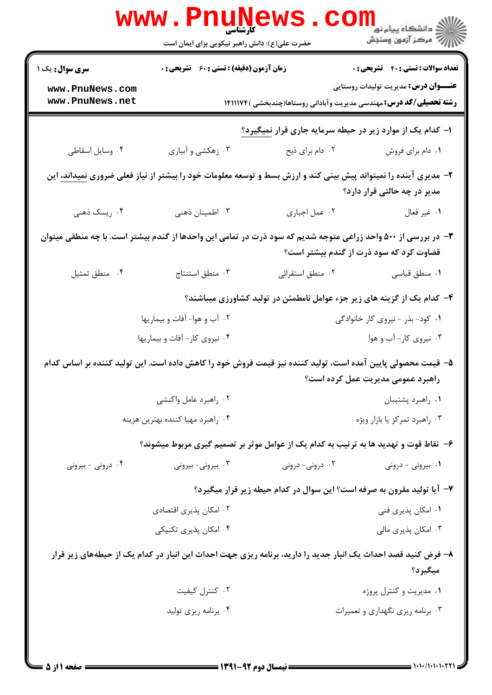|                                                                                                                                                          | <b>www.Pnuve</b><br>حضرت علی(ع): دانش راهبر نیکویی برای ایمان است                    |                               | الاد دانشگاه پيام نور<br>الا دانشگاه پيام نور<br>الا                                                                      |
|----------------------------------------------------------------------------------------------------------------------------------------------------------|--------------------------------------------------------------------------------------|-------------------------------|---------------------------------------------------------------------------------------------------------------------------|
| <b>سری سوال :</b> یک ۱                                                                                                                                   | <b>زمان آزمون (دقیقه) : تستی : 60 ٪ تشریحی : 0</b>                                   |                               | <b>تعداد سوالات : تستي : 40 ٪ تشريحي : 0</b>                                                                              |
| www.PnuNews.com<br>www.PnuNews.net                                                                                                                       |                                                                                      |                               | <b>عنـــوان درس:</b> مدیریت تولیدات روستایی<br><b>رشته تحصیلی/کد درس:</b> مهندسی مدیریت وآبادانی روستاها(چندبخشی )۱۴۱۱۱۷۴ |
|                                                                                                                                                          |                                                                                      |                               | ا- کدام یک از موارد زیر در حیطه سرمایه جاری قرار نمیگیرد؟                                                                 |
| ۰۴ وسایل اسقاطی                                                                                                                                          | ۰۳ زهکشی و آبیاری                                                                    | ۰۲ دام برای ذبح               | ٠١. دام براي فروش                                                                                                         |
| <b>۲</b> - مدیری آینده را نمیتواند پیش بینی کند و ارزش بسط و توسعه معلومات خود را بیشتر از نیاز فعلی ضروری <u>نمیداند،</u> این                           |                                                                                      |                               | مدیر در چه حالتی قرار دارد؟                                                                                               |
| ۰۴ ریسک ذهنی                                                                                                                                             | ۰۳ اطمینان ذهنی                                                                      | ٠٢ عمل اجباري                 | ١. غير فعال                                                                                                               |
| ۳- در بررسی از ۵۰۰ واحد زراعی متوجه شدیم که سود ذرت در تمامی این واحدها از گندم بیشتر است. با چه منطقی میتوان<br>قضاوت کرد که سود ذرت از گندم بیشتر است؟ |                                                                                      |                               |                                                                                                                           |
| ۰۴ منطق تمثيل                                                                                                                                            | ۰۳ منطق استنتاج                                                                      | ۰۲ منطق استقرائي              | ٠١ منطق قياسي                                                                                                             |
|                                                                                                                                                          |                                                                                      |                               | ۴– کدام یک از گزینه های زیر جزء عوامل نامطمئن در تولید کشاورزی میباشند؟                                                   |
|                                                                                                                                                          | ۰۲ آب و هوا- آفات و بیماریها                                                         |                               | ۰۱ کود- بذر - نیروی کار خانوادگی                                                                                          |
|                                                                                                                                                          | ۰۴ نیروی کار- آفات و بیماریها                                                        |                               | ۰۳ نیروی کار- آب و هوا                                                                                                    |
| ۵– قیمت محصولی پایین آمده است، تولید کننده نیز قیمت فروش خود را کاهش داده است. این تولید کننده بر اساس کدام                                              |                                                                                      |                               | راهبرد عمومی مدیریت عمل کرده است؟                                                                                         |
|                                                                                                                                                          | ۰۲ راهبرد عامل واکنشی                                                                |                               | ٠١ راهبرد پشتيبان                                                                                                         |
|                                                                                                                                                          | ۰۴ راهبرد مهیا کننده بهترین هزینه                                                    | ۰۳ راهبرد تمرکز یا بازار ویژه |                                                                                                                           |
|                                                                                                                                                          | ۶– نقاط قوت و تهدید ها به ترتیب به کدام یک از عوامل موثر بر تصمیم گیری مربوط میشوند؟ |                               |                                                                                                                           |
| ۰۴ درونی - بیرونی                                                                                                                                        | ۰۳ بیرونی- بیرونی                                                                    | ۰۲ درونی- درونی               | ۰۱ بیرونی - درونی                                                                                                         |
|                                                                                                                                                          |                                                                                      |                               | ۷- آیا تولید مقرون به صرفه است؟ این سوال در کدام حیطه زیر قرار میگیرد؟                                                    |
|                                                                                                                                                          | ۰۲ امکان پذیری اقتصادی                                                               |                               | ۰۱ امکان پذیری فنی                                                                                                        |
|                                                                                                                                                          | ۰۴ امکان پذیری تکنیکی                                                                |                               | ۰۳ امکان پذیری مالی                                                                                                       |
|                                                                                                                                                          |                                                                                      |                               | ۸– فرض کنید قصد احداث یک انبار جدید را دارید، برنامه ریزی جهت احداث این انبار در کدام یک از حیطههای زیر قرار<br>ميگيرد؟   |
|                                                                                                                                                          | ۰۲ کنترل کیفیت                                                                       |                               | ۰۱ مدیریت و کنترل پروژه                                                                                                   |
|                                                                                                                                                          | ۰۴ برنامه ریزی تولید                                                                 |                               | ۰۳ برنامه ریزی نگهداری و تعمیرات                                                                                          |
|                                                                                                                                                          |                                                                                      |                               |                                                                                                                           |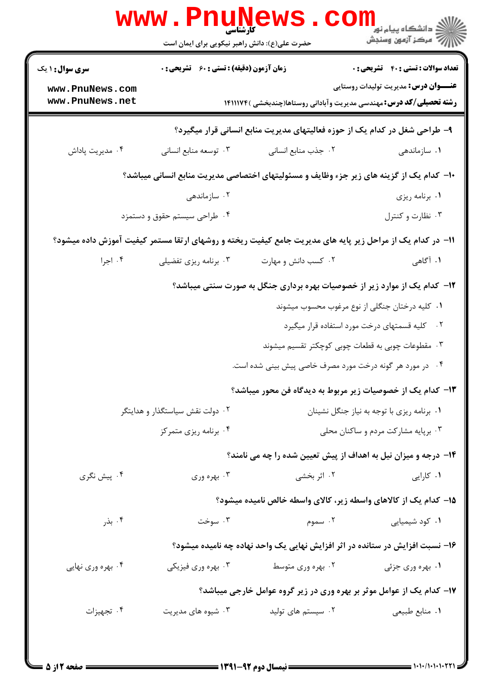|                                                                                         | <b>WWW.PNUNEWS</b><br>کارشناسہ<br>حضرت علی(ع): دانش راهبر نیکویی برای ایمان است |                                                                                                           | ر دانشڪاه پيام نور <mark>−</mark><br>ا∛ مرکز آزمون وسنڊش                                    |  |
|-----------------------------------------------------------------------------------------|---------------------------------------------------------------------------------|-----------------------------------------------------------------------------------------------------------|---------------------------------------------------------------------------------------------|--|
| <b>سری سوال : ۱ یک</b><br>www.PnuNews.com                                               | <b>زمان آزمون (دقیقه) : تستی : 60 ٪ تشریحی : 0</b>                              |                                                                                                           | <b>تعداد سوالات : تستي : 40 - تشريحي : 0</b><br><b>عنـــوان درس:</b> مدیریت تولیدات روستایی |  |
| www.PnuNews.net                                                                         |                                                                                 | <b>رشته تحصیلی/کد درس:</b> مهندسی مدیریت وآبادانی روستاها(چندبخشی )۱۴۱۱۱۷۴                                |                                                                                             |  |
|                                                                                         |                                                                                 | ۹- طراحی شغل در کدام یک از حوزه فعالیتهای مدیریت منابع انسانی قرار میگیرد؟                                |                                                                                             |  |
| ۰۴ مدیریت پاداش                                                                         | ۰۳ توسعه منابع انسانی                                                           | ٠٢ جذب منابع انسانى                                                                                       | ۰۱ سازماندهی                                                                                |  |
| ∙ا− کدام یک از گزینه های زیر جزء وظایف و مسئولیتهای اختصاصی مدیریت منابع انسانی میباشد؟ |                                                                                 |                                                                                                           |                                                                                             |  |
|                                                                                         | ۰۲ سازماندهی                                                                    |                                                                                                           | ۰۱ برنامه ریزی                                                                              |  |
|                                                                                         | ۰۴ طراحی سیستم حقوق و دستمزد                                                    |                                                                                                           | ۰۳ نظارت و کنترل                                                                            |  |
|                                                                                         |                                                                                 | 1۱– در کدام یک از مراحل زیر پایه های مدیریت جامع کیفیت ریخته و روشهای ارتقا مستمر کیفیت آموزش داده میشود؟ |                                                                                             |  |
| ۰۴ اجرا                                                                                 | ۰۳ برنامه ریزی تفضیلی                                                           | ۰۲ کسب دانش و مهارت                                                                                       | ۱. آگاهی                                                                                    |  |
| ۱۲- کدام یک از موارد زیر از خصوصیات بهره برداری جنگل به صورت سنتی میباشد؟               |                                                                                 |                                                                                                           |                                                                                             |  |
|                                                                                         |                                                                                 |                                                                                                           | ۰۱ کلیه درختان جنگلی از نوع مرغوب محسوب میشوند                                              |  |
|                                                                                         |                                                                                 |                                                                                                           | ۰۲ کلیه قسمتهای درخت مورد استفاده قرار میگیرد                                               |  |
|                                                                                         |                                                                                 | ۰۳ مقطوعات چوبی به قطعات چوبی کوچکتر تقسیم میشوند                                                         |                                                                                             |  |
|                                                                                         |                                                                                 | ۰۴ در مورد هر گونه درخت مورد مصرف خاصی پیش بینی شده است.                                                  |                                                                                             |  |
|                                                                                         |                                                                                 | ۱۳– کدام یک از خصوصیات زیر مربوط به دیدگاه فن محور میباشد؟                                                |                                                                                             |  |
|                                                                                         | ۰۲ دولت نقش سیاستگذار و هدایتگر                                                 |                                                                                                           | ٠١ برنامه ريزي با توجه به نياز جنگل نشينان                                                  |  |
|                                                                                         | ۰۴ برنامه ریزی متمرکز                                                           |                                                                                                           | ۰۳ برپایه مشارکت مردم و ساکنان محلی                                                         |  |
|                                                                                         |                                                                                 | ۱۴- درجه و میزان نیل به اهداف از پیش تعیین شده را چه می نامند؟                                            |                                                                                             |  |
| ۰۴ پیش نگری                                                                             | ۰۳ بهره وري                                                                     | ۰۲ اثر بخشی                                                                                               | ۰۱ کارایی                                                                                   |  |
|                                                                                         |                                                                                 | ۱۵– کدام یک از کالاهای واسطه زیر، کالای واسطه خالص نامیده میشود؟                                          |                                                                                             |  |
| ۰۴ بذر                                                                                  | ۰۳ سوخت                                                                         | ۰۲ سموم                                                                                                   | ۰۱ کود شیمیایی                                                                              |  |
|                                                                                         |                                                                                 | ۱۶– نسبت افزایش در ستانده در اثر افزایش نهایی یک واحد نهاده چه نامیده میشود؟                              |                                                                                             |  |
| ۰۴ بهره وري نهايي                                                                       | ۰۳ بهره وري فيزيكي                                                              | ۰۲ بهره وری متوسط                                                                                         | ۰۱ بهره وری جزئی                                                                            |  |
|                                                                                         |                                                                                 | ۱۷- کدام یک از عوامل موثر بر بهره وری در زیر گروه عوامل خارجی میباشد؟                                     |                                                                                             |  |
| ۰۴ تجهيزات                                                                              | ۰۳ شیوه های مدیریت                                                              | ۰۲ سیستم های تولید                                                                                        | ٠١. منابع طبيعي                                                                             |  |
|                                                                                         |                                                                                 |                                                                                                           |                                                                                             |  |
|                                                                                         |                                                                                 |                                                                                                           |                                                                                             |  |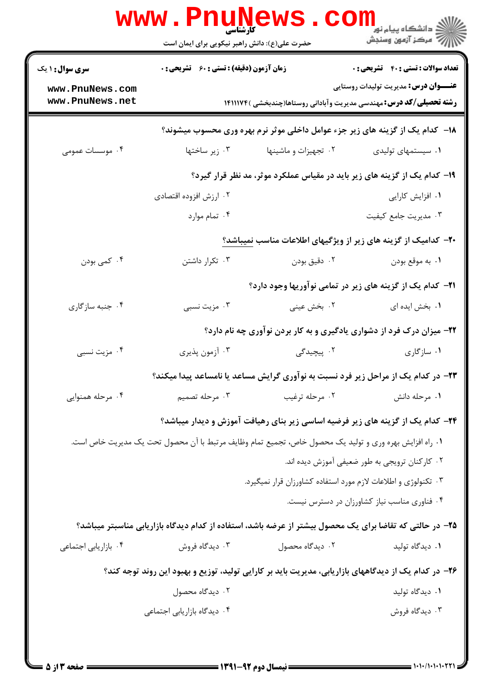|                                    |                                            |                                                                                                          | <b>تعداد سوالات : تستي : 40 - تشريحي : 0</b>   |
|------------------------------------|--------------------------------------------|----------------------------------------------------------------------------------------------------------|------------------------------------------------|
| <b>سری سوال : ۱ یک</b>             | زمان آزمون (دقیقه) : تستی : ۶۰٪ تشریحی : ۰ |                                                                                                          | <b>عنـــوان درس:</b> مدیریت تولیدات روستایی    |
| www.PnuNews.com<br>www.PnuNews.net |                                            | <b>رشته تحصیلی/کد درس:</b> مهندسی مدیریت وآبادانی روستاها(چندبخشی )۱۴۱۱۱۷۴                               |                                                |
|                                    |                                            | ۱۸– کدام یک از گزینه های زیر جزء عوامل داخلی موثر نرم بهره وری محسوب میشوند؟                             |                                                |
| ۰۴ موسسات عمومی                    | ۰۳ زیر ساختها                              | ۰۲ تجهیزات و ماشینها                                                                                     | ۰۱ سیستمهای تولیدی                             |
|                                    |                                            | ۱۹- کدام یک از گزینه های زیر باید در مقیاس عملکرد موثر، مد نظر قرار گیرد؟                                |                                                |
|                                    | ۰۲ ارزش افزوده اقتصادی                     |                                                                                                          | ۰۱ افزایش کارایی                               |
|                                    | ۰۴ تمام موارد                              |                                                                                                          | ۰۳ مدیریت جامع کیفیت                           |
|                                    |                                            | ۲۰- کدامیک از گزینه های زیر از ویژگیهای اطلاعات مناسب نمیباشد؟                                           |                                                |
| ۰۴ کمی بودن                        | ۰۳ تکرار داشتن                             | ۰۲ دقیق بودن                                                                                             | ٠١. به موقع بودن                               |
|                                    |                                            | <b>۲۱</b> – کدام یک از گزینه های زیر در تمامی نوآوریها وجود دارد؟                                        |                                                |
| ۰۴ جنبه سازگاری                    | ۰۳ مزیت نسبی                               | ۰۲ بخش عینی                                                                                              | ۰۱ بخش ایده ای                                 |
|                                    |                                            | ۲۲- میزان درک فرد از دشواری یادگیری و به کار بردن نوآوری چه نام دارد؟                                    |                                                |
| ۰۴ مزیت نسبی                       | ۰۳ آزمون پذيري                             | ۰۲ پیچیدگی                                                                                               | ۰۱ سازگاری                                     |
|                                    |                                            | ۲۳- در کدام یک از مراحل زیر فرد نسبت به نوآوری گرایش مساعد یا نامساعد پیدا میکند؟                        |                                                |
| ۰۴ مرحله همنوایی                   | ۰۳ مرحله تصمیم                             | ۰۲ مرحله ترغيب                                                                                           | ۰۱ مرحله دانش                                  |
|                                    |                                            | <b>۳۴</b> – کدام یک از گزینه های زیر فرضیه اساسی زیر بنای رهیافت آموزش و دیدار میباشد؟                   |                                                |
|                                    |                                            | ٠١ راه افزايش بهره وري و توليد يک محصول خاص، تجميع تمام وظايف مرتبط با آن محصول تحت يک مديريت خاص است.   |                                                |
|                                    |                                            |                                                                                                          | ۰۲ کارکنان ترویجی به طور ضعیفی آموزش دیده اند. |
|                                    |                                            | ۰۳ تکنولوژی و اطلاعات لازم مورد استفاده کشاورزان قرار نمیگیرد.                                           |                                                |
|                                    |                                            |                                                                                                          | ۰۴ فناوری مناسب نیاز کشاورزان در دسترس نیست.   |
|                                    |                                            | ۲۵– در حالتی که تقاضا برای یک محصول بیشتر از عرضه باشد، استفاده از کدام دیدگاه بازاریابی مناسبتر میباشد؟ |                                                |
| ۰۴ بازاریابی اجتماعی               | ۰۳ دیدگاه فروش                             | ۰۲ دیدگاه محصول                                                                                          | ۰۱ دیدگاه تولید                                |
|                                    |                                            | ۲۶– در کدام یک از دیدگاههای بازاریابی، مدیریت باید بر کارایی تولید، توزیع و بهبود این روند توجه کند؟     |                                                |
|                                    | ۰۲ دیدگاه محصول                            |                                                                                                          | ۰۱ دیدگاه تولید                                |
|                                    | ۰۴ دیدگاه بازاریابی اجتماعی                |                                                                                                          | ۰۳ دیدگاه فروش                                 |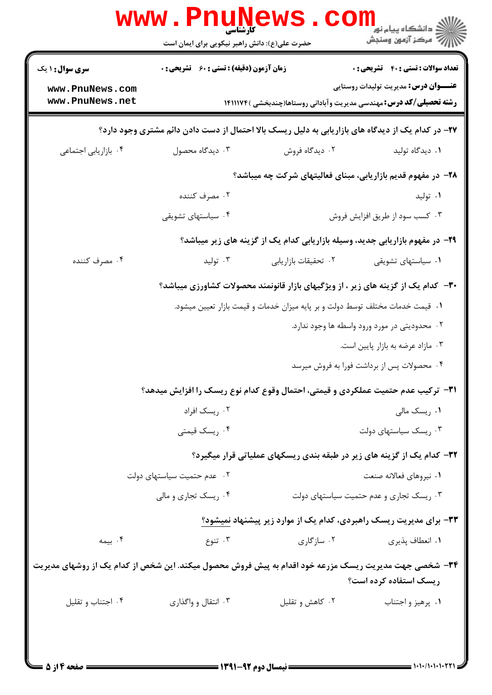|                                                                                                       | <b>www.PnuNews</b><br>حضرت علی(ع): دانش راهبر نیکویی برای ایمان است           |                                                                                                   | ڪ دانشڪاه پيا <sub>م</sub> نور<br><mark>∕</mark> 7 مرڪز آزمون وسنڊش                            |
|-------------------------------------------------------------------------------------------------------|-------------------------------------------------------------------------------|---------------------------------------------------------------------------------------------------|------------------------------------------------------------------------------------------------|
| <b>سری سوال : ۱ یک</b><br>www.PnuNews.com<br>www.PnuNews.net                                          | زمان آزمون (دقیقه) : تستی : 60 گشریحی : 0                                     | <b>رشته تحصیلی/کد درس:</b> مهندسی مدیریت وآبادانی روستاها(چندبخشی )۱۴۱۱۱۷۴                        | <b>تعداد سوالات : تستي : 40 قشريحي : 0</b><br><del>عنــــوان درس:</del> مدیریت تولیدات روستایی |
|                                                                                                       |                                                                               | ۲۷- در کدام یک از دیدگاه های بازاریابی به دلیل ریسک بالا احتمال از دست دادن دائم مشتری وجود دارد؟ |                                                                                                |
| ۰۴ بازاریابی اجتماعی                                                                                  | ۰۳ دیدگاه محصول                                                               | ۰۲ دیدگاه فروش                                                                                    | ۰۱ دیدگاه تولید                                                                                |
|                                                                                                       |                                                                               | ۲۸- در مفهوم قدیم بازاریابی، مبنای فعالیتهای شرکت چه میباشد؟                                      |                                                                                                |
|                                                                                                       | ۰۲ مصرف کننده                                                                 |                                                                                                   | ۰۱ تولید                                                                                       |
|                                                                                                       | ۰۴ سیاستهای تشویقی                                                            |                                                                                                   | ۰۳ کسب سود از طريق افزايش فروش                                                                 |
|                                                                                                       | ۲۹- در مفهوم بازاریابی جدید، وسیله بازاریابی کدام یک از گزینه های زیر میباشد؟ |                                                                                                   |                                                                                                |
| ۰۴ مصرف کننده                                                                                         | ۰۳ تولید                                                                      | ٠٢ تحقيقات بازاريابي                                                                              | ۰۱ سیاستهای تشویقی                                                                             |
|                                                                                                       |                                                                               | ۳۰– کدام یک از گزینه های زیر ، از ویژگیهای بازار قانونمند محصولات کشاورزی میباشد؟                 |                                                                                                |
|                                                                                                       | ۰۱ قیمت خدمات مختلف توسط دولت و بر پایه میزان خدمات و قیمت بازار تعیین میشود. |                                                                                                   |                                                                                                |
|                                                                                                       |                                                                               |                                                                                                   | ۰۲ محدودیتی در مورد ورود واسطه ها وجود ندارد.                                                  |
|                                                                                                       |                                                                               |                                                                                                   | ۰۳ مازاد عرضه به بازار پایین است.                                                              |
|                                                                                                       |                                                                               |                                                                                                   | ۰۴ محصولات پس از برداشت فورا به فروش میرسد                                                     |
|                                                                                                       |                                                                               | <b>۳۱</b> - ترکیب عدم حتمیت عملکردی و قیمتی، احتمال وقوع کدام نوع ریسک را افزایش میدهد؟           |                                                                                                |
|                                                                                                       | ۰۲ ريسک افراد                                                                 |                                                                                                   | ۰۱ ریسک مالی                                                                                   |
|                                                                                                       | ۰۴ ریسک قیمتی                                                                 |                                                                                                   | ۰۳ ریسک سیاستهای دولت                                                                          |
|                                                                                                       |                                                                               | ۳۲- کدام یک از گزینه های زیر در طبقه بندی ریسکهای عملیاتی قرار میگیرد؟                            |                                                                                                |
|                                                                                                       | ٠٢ عدم حتميت سياستهاى دولت                                                    |                                                                                                   | ٠١ نيروهاي فعالانه صنعت                                                                        |
|                                                                                                       | ۰۴ ریسک تجاری و مالی                                                          |                                                                                                   | ۰۳ ریسک تجاری و عدم حتمیت سیاستهای دولت                                                        |
|                                                                                                       |                                                                               | ۳۳- برای مدیریت ریسک راهبردی، کدام یک از موارد زیر پیشنهاد نمیشود؟                                |                                                                                                |
| ۰۴ بیمه                                                                                               | ۰۳ تنوع                                                                       | ۰۲ سازگاری                                                                                        | ٠١. انعطاف پذيري                                                                               |
| ۳۴– شخصی جهت مدیریت ریسک مزرعه خود اقدام به پیش فروش محصول میکند. این شخص از کدام یک از روشهای مدیریت |                                                                               |                                                                                                   | ریسک استفاده کرده است؟                                                                         |
| ۰۴ اجتناب و تقليل                                                                                     | ۰۳ انتقال و واگذاری                                                           | ۰۲ کاهش و تقلیل                                                                                   | ۰۱ پرهيز و اجتناب                                                                              |
|                                                                                                       |                                                                               |                                                                                                   |                                                                                                |